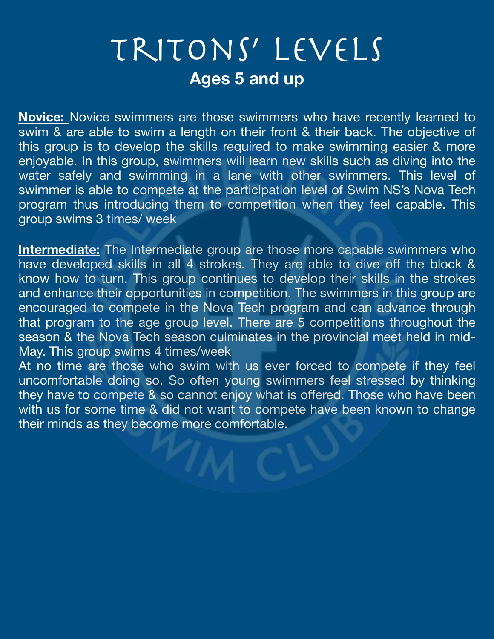## Tritons' Levels **Ages 5 and up**

**Novice:** Novice swimmers are those swimmers who have recently learned to swim & are able to swim a length on their front & their back. The objective of this group is to develop the skills required to make swimming easier & more enjoyable. In this group, swimmers will learn new skills such as diving into the water safely and swimming in a lane with other swimmers. This level of swimmer is able to compete at the participation level of Swim NS's Nova Tech program thus introducing them to competition when they feel capable. This group swims 3 times/ week

**Intermediate:** The Intermediate group are those more capable swimmers who have developed skills in all 4 strokes. They are able to dive off the block & know how to turn. This group continues to develop their skills in the strokes and enhance their opportunities in competition. The swimmers in this group are encouraged to compete in the Nova Tech program and can advance through that program to the age group level. There are 5 competitions throughout the season & the Nova Tech season culminates in the provincial meet held in mid-May. This group swims 4 times/week

At no time are those who swim with us ever forced to compete if they feel uncomfortable doing so. So often young swimmers feel stressed by thinking they have to compete & so cannot enjoy what is offered. Those who have been with us for some time & did not want to compete have been known to change their minds as they become more comfortable.